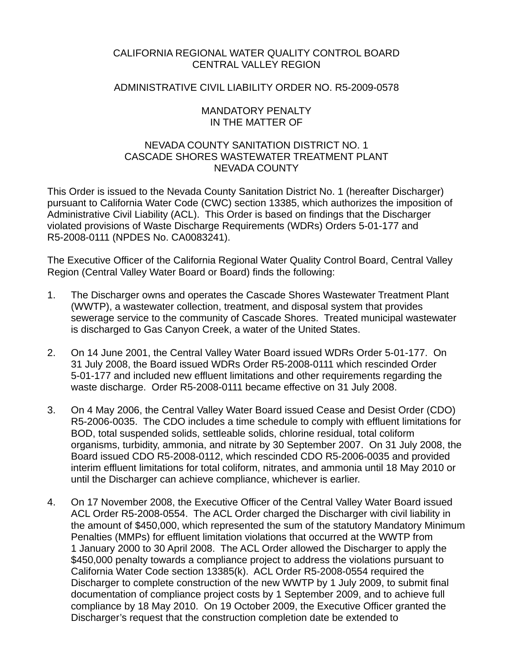## CALIFORNIA REGIONAL WATER QUALITY CONTROL BOARD CENTRAL VALLEY REGION

### ADMINISTRATIVE CIVIL LIABILITY ORDER NO. R5-2009-0578

### MANDATORY PENALTY IN THE MATTER OF

### NEVADA COUNTY SANITATION DISTRICT NO. 1 CASCADE SHORES WASTEWATER TREATMENT PLANT NEVADA COUNTY

This Order is issued to the Nevada County Sanitation District No. 1 (hereafter Discharger) pursuant to California Water Code (CWC) section 13385, which authorizes the imposition of Administrative Civil Liability (ACL). This Order is based on findings that the Discharger violated provisions of Waste Discharge Requirements (WDRs) Orders 5-01-177 and R5-2008-0111 (NPDES No. CA0083241).

The Executive Officer of the California Regional Water Quality Control Board, Central Valley Region (Central Valley Water Board or Board) finds the following:

- 1. The Discharger owns and operates the Cascade Shores Wastewater Treatment Plant (WWTP), a wastewater collection, treatment, and disposal system that provides sewerage service to the community of Cascade Shores. Treated municipal wastewater is discharged to Gas Canyon Creek, a water of the United States.
- 2. On 14 June 2001, the Central Valley Water Board issued WDRs Order 5-01-177. On 31 July 2008, the Board issued WDRs Order R5-2008-0111 which rescinded Order 5-01-177 and included new effluent limitations and other requirements regarding the waste discharge. Order R5-2008-0111 became effective on 31 July 2008.
- 3. On 4 May 2006, the Central Valley Water Board issued Cease and Desist Order (CDO) R5-2006-0035. The CDO includes a time schedule to comply with effluent limitations for BOD, total suspended solids, settleable solids, chlorine residual, total coliform organisms, turbidity, ammonia, and nitrate by 30 September 2007. On 31 July 2008, the Board issued CDO R5-2008-0112, which rescinded CDO R5-2006-0035 and provided interim effluent limitations for total coliform, nitrates, and ammonia until 18 May 2010 or until the Discharger can achieve compliance, whichever is earlier.
- 4. On 17 November 2008, the Executive Officer of the Central Valley Water Board issued ACL Order R5-2008-0554. The ACL Order charged the Discharger with civil liability in the amount of \$450,000, which represented the sum of the statutory Mandatory Minimum Penalties (MMPs) for effluent limitation violations that occurred at the WWTP from 1 January 2000 to 30 April 2008. The ACL Order allowed the Discharger to apply the \$450,000 penalty towards a compliance project to address the violations pursuant to California Water Code section 13385(k). ACL Order R5-2008-0554 required the Discharger to complete construction of the new WWTP by 1 July 2009, to submit final documentation of compliance project costs by 1 September 2009, and to achieve full compliance by 18 May 2010. On 19 October 2009, the Executive Officer granted the Discharger's request that the construction completion date be extended to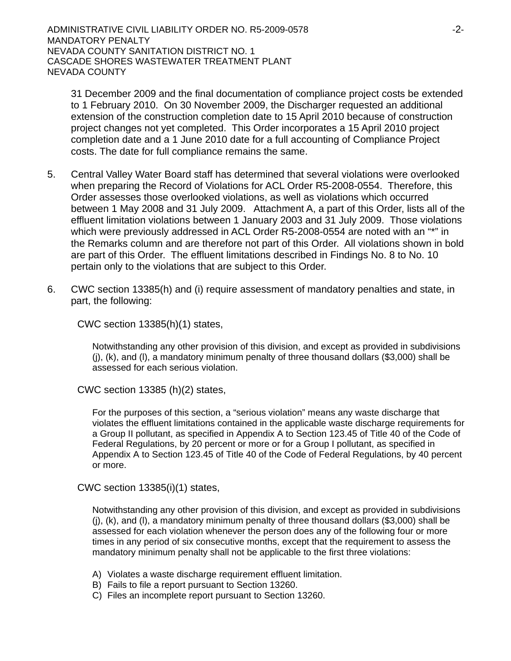ADMINISTRATIVE CIVIL LIABILITY ORDER NO. R5-2009-0578 -2- MANDATORY PENALTY NEVADA COUNTY SANITATION DISTRICT NO. 1 CASCADE SHORES WASTEWATER TREATMENT PLANT NEVADA COUNTY

31 December 2009 and the final documentation of compliance project costs be extended to 1 February 2010. On 30 November 2009, the Discharger requested an additional extension of the construction completion date to 15 April 2010 because of construction project changes not yet completed. This Order incorporates a 15 April 2010 project completion date and a 1 June 2010 date for a full accounting of Compliance Project costs. The date for full compliance remains the same.

- 5. Central Valley Water Board staff has determined that several violations were overlooked when preparing the Record of Violations for ACL Order R5-2008-0554. Therefore, this Order assesses those overlooked violations, as well as violations which occurred between 1 May 2008 and 31 July 2009. Attachment A, a part of this Order, lists all of the effluent limitation violations between 1 January 2003 and 31 July 2009. Those violations which were previously addressed in ACL Order R5-2008-0554 are noted with an "\*" in the Remarks column and are therefore not part of this Order. All violations shown in bold are part of this Order. The effluent limitations described in Findings No. 8 to No. 10 pertain only to the violations that are subject to this Order.
- 6. CWC section 13385(h) and (i) require assessment of mandatory penalties and state, in part, the following:

CWC section 13385(h)(1) states,

Notwithstanding any other provision of this division, and except as provided in subdivisions (j), (k), and (l), a mandatory minimum penalty of three thousand dollars (\$3,000) shall be assessed for each serious violation.

CWC section 13385 (h)(2) states,

For the purposes of this section, a "serious violation" means any waste discharge that violates the effluent limitations contained in the applicable waste discharge requirements for a Group II pollutant, as specified in Appendix A to Section 123.45 of Title 40 of the Code of Federal Regulations, by 20 percent or more or for a Group I pollutant, as specified in Appendix A to Section 123.45 of Title 40 of the Code of Federal Regulations, by 40 percent or more.

CWC section 13385(i)(1) states,

Notwithstanding any other provision of this division, and except as provided in subdivisions  $(i)$ ,  $(k)$ , and  $(l)$ , a mandatory minimum penalty of three thousand dollars (\$3,000) shall be assessed for each violation whenever the person does any of the following four or more times in any period of six consecutive months, except that the requirement to assess the mandatory minimum penalty shall not be applicable to the first three violations:

- A) Violates a waste discharge requirement effluent limitation.
- B) Fails to file a report pursuant to Section 13260.
- C) Files an incomplete report pursuant to Section 13260.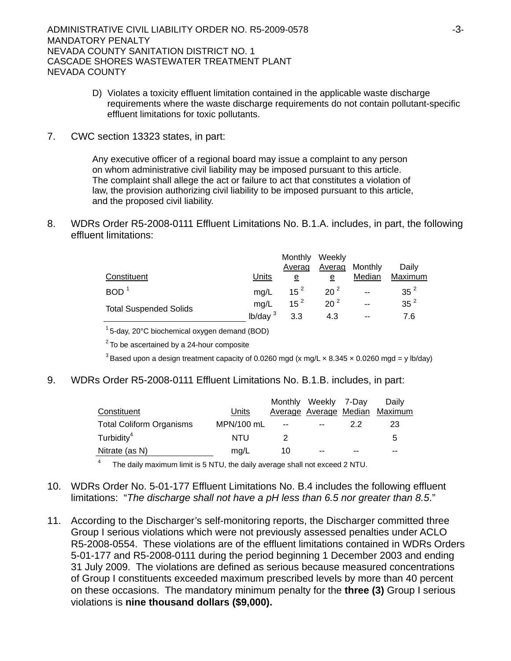- D) Violates a toxicity effluent limitation contained in the applicable waste discharge requirements where the waste discharge requirements do not contain pollutant-specific effluent limitations for toxic pollutants.
- 7. CWC section 13323 states, in part:

Any executive officer of a regional board may issue a complaint to any person on whom administrative civil liability may be imposed pursuant to this article. The complaint shall allege the act or failure to act that constitutes a violation of law, the provision authorizing civil liability to be imposed pursuant to this article, and the proposed civil liability.

8. WDRs Order R5-2008-0111 Effluent Limitations No. B.1.A. includes, in part, the following effluent limitations:

|                               |                     | Monthly<br>Averag | Weekly<br>Averag | Monthly | Daily           |
|-------------------------------|---------------------|-------------------|------------------|---------|-----------------|
| Constituent                   | Units               | e                 | е                | Median  | Maximum         |
| BOD <sup>1</sup>              | ma/L                | $15^{2}$          | $20^{2}$         | $-$     | 35 <sup>2</sup> |
| <b>Total Suspended Solids</b> | mg/L                | $15^2$            | 20 <sup>2</sup>  | --      | 35 <sup>2</sup> |
|                               | lb/day <sup>3</sup> | 3.3               | 4.3              | $-$     | 7.6             |

 $1$  5-day, 20 $^{\circ}$ C biochemical oxygen demand (BOD)

 $2^2$  To be ascertained by a 24-hour composite

<sup>3</sup> Based upon a design treatment capacity of 0.0260 mgd (x mg/L x 8.345 x 0.0260 mgd = y lb/day)

9. WDRs Order R5-2008-0111 Effluent Limitations No. B.1.B. includes, in part:

|                                 |            |     | Monthly Weekly 7-Day |    | Daily                          |
|---------------------------------|------------|-----|----------------------|----|--------------------------------|
| Constituent                     | Units      |     |                      |    | Average Average Median Maximum |
| <b>Total Coliform Organisms</b> | MPN/100 mL | $-$ | $-$                  | 22 | 23                             |
| Turbidity <sup>4</sup>          | NTU        |     |                      |    | -5                             |
| Nitrate (as N)                  | mg/L       | 10  | $-$                  |    | $- -$                          |

4 The daily maximum limit is 5 NTU, the daily average shall not exceed 2 NTU.

- 10. WDRs Order No. 5-01-177 Effluent Limitations No. B.4 includes the following effluent limitations: "*The discharge shall not have a pH less than 6.5 nor greater than 8.5*."
- 11. According to the Discharger's self-monitoring reports, the Discharger committed three Group I serious violations which were not previously assessed penalties under ACLO R5-2008-0554. These violations are of the effluent limitations contained in WDRs Orders 5-01-177 and R5-2008-0111 during the period beginning 1 December 2003 and ending 31 July 2009. The violations are defined as serious because measured concentrations of Group I constituents exceeded maximum prescribed levels by more than 40 percent on these occasions. The mandatory minimum penalty for the **three (3)** Group I serious violations is **nine thousand dollars (\$9,000).**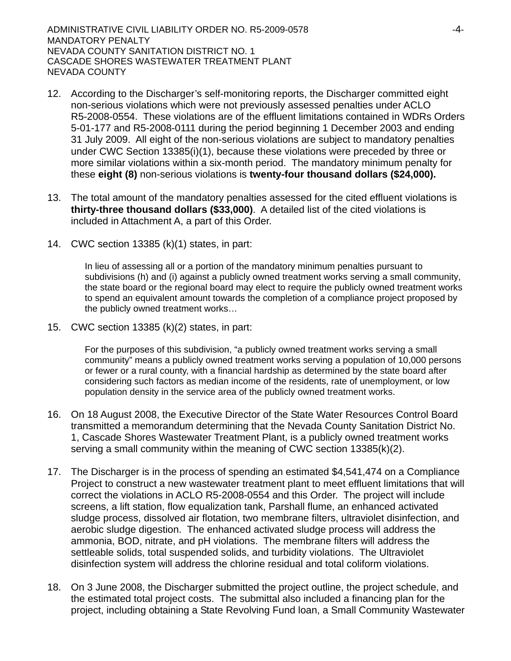- 12. According to the Discharger's self-monitoring reports, the Discharger committed eight non-serious violations which were not previously assessed penalties under ACLO R5-2008-0554. These violations are of the effluent limitations contained in WDRs Orders 5-01-177 and R5-2008-0111 during the period beginning 1 December 2003 and ending 31 July 2009. All eight of the non-serious violations are subject to mandatory penalties under CWC Section 13385(i)(1), because these violations were preceded by three or more similar violations within a six-month period. The mandatory minimum penalty for these **eight (8)** non-serious violations is **twenty-four thousand dollars (\$24,000).**
- 13. The total amount of the mandatory penalties assessed for the cited effluent violations is **thirty-three thousand dollars (\$33,000)**. A detailed list of the cited violations is included in Attachment A, a part of this Order.
- 14. CWC section 13385 (k)(1) states, in part:

In lieu of assessing all or a portion of the mandatory minimum penalties pursuant to subdivisions (h) and (i) against a publicly owned treatment works serving a small community, the state board or the regional board may elect to require the publicly owned treatment works to spend an equivalent amount towards the completion of a compliance project proposed by the publicly owned treatment works…

15. CWC section 13385 (k)(2) states, in part:

For the purposes of this subdivision, "a publicly owned treatment works serving a small community" means a publicly owned treatment works serving a population of 10,000 persons or fewer or a rural county, with a financial hardship as determined by the state board after considering such factors as median income of the residents, rate of unemployment, or low population density in the service area of the publicly owned treatment works.

- 16. On 18 August 2008, the Executive Director of the State Water Resources Control Board transmitted a memorandum determining that the Nevada County Sanitation District No. 1, Cascade Shores Wastewater Treatment Plant, is a publicly owned treatment works serving a small community within the meaning of CWC section 13385(k)(2).
- 17. The Discharger is in the process of spending an estimated \$4,541,474 on a Compliance Project to construct a new wastewater treatment plant to meet effluent limitations that will correct the violations in ACLO R5-2008-0554 and this Order. The project will include screens, a lift station, flow equalization tank, Parshall flume, an enhanced activated sludge process, dissolved air flotation, two membrane filters, ultraviolet disinfection, and aerobic sludge digestion. The enhanced activated sludge process will address the ammonia, BOD, nitrate, and pH violations. The membrane filters will address the settleable solids, total suspended solids, and turbidity violations. The Ultraviolet disinfection system will address the chlorine residual and total coliform violations.
- 18. On 3 June 2008, the Discharger submitted the project outline, the project schedule, and the estimated total project costs. The submittal also included a financing plan for the project, including obtaining a State Revolving Fund loan, a Small Community Wastewater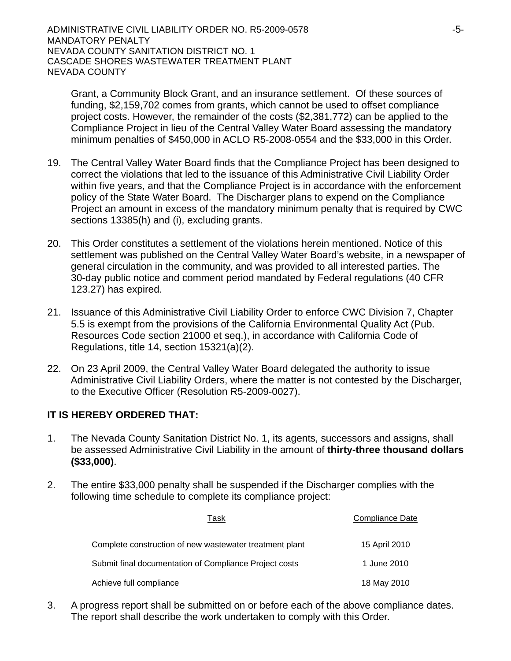Grant, a Community Block Grant, and an insurance settlement. Of these sources of funding, \$2,159,702 comes from grants, which cannot be used to offset compliance project costs. However, the remainder of the costs (\$2,381,772) can be applied to the Compliance Project in lieu of the Central Valley Water Board assessing the mandatory minimum penalties of \$450,000 in ACLO R5-2008-0554 and the \$33,000 in this Order.

- 19. The Central Valley Water Board finds that the Compliance Project has been designed to correct the violations that led to the issuance of this Administrative Civil Liability Order within five years, and that the Compliance Project is in accordance with the enforcement policy of the State Water Board. The Discharger plans to expend on the Compliance Project an amount in excess of the mandatory minimum penalty that is required by CWC sections 13385(h) and (i), excluding grants.
- 20. This Order constitutes a settlement of the violations herein mentioned. Notice of this settlement was published on the Central Valley Water Board's website, in a newspaper of general circulation in the community, and was provided to all interested parties. The 30-day public notice and comment period mandated by Federal regulations (40 CFR 123.27) has expired.
- 21. Issuance of this Administrative Civil Liability Order to enforce CWC Division 7, Chapter 5.5 is exempt from the provisions of the California Environmental Quality Act (Pub. Resources Code section 21000 et seq.), in accordance with California Code of Regulations, title 14, section 15321(a)(2).
- 22. On 23 April 2009, the Central Valley Water Board delegated the authority to issue Administrative Civil Liability Orders, where the matter is not contested by the Discharger, to the Executive Officer (Resolution R5-2009-0027).

# **IT IS HEREBY ORDERED THAT:**

- 1. The Nevada County Sanitation District No. 1, its agents, successors and assigns, shall be assessed Administrative Civil Liability in the amount of **thirty-three thousand dollars (\$33,000)**.
- 2. The entire \$33,000 penalty shall be suspended if the Discharger complies with the following time schedule to complete its compliance project:

| Task                                                    | <b>Compliance Date</b> |
|---------------------------------------------------------|------------------------|
| Complete construction of new wastewater treatment plant | 15 April 2010          |
| Submit final documentation of Compliance Project costs  | 1 June 2010            |
| Achieve full compliance                                 | 18 May 2010            |

3. A progress report shall be submitted on or before each of the above compliance dates. The report shall describe the work undertaken to comply with this Order.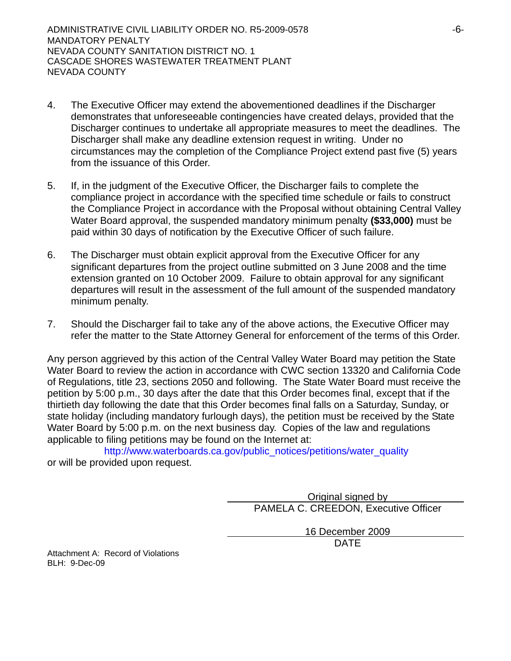- 4. The Executive Officer may extend the abovementioned deadlines if the Discharger demonstrates that unforeseeable contingencies have created delays, provided that the Discharger continues to undertake all appropriate measures to meet the deadlines. The Discharger shall make any deadline extension request in writing. Under no circumstances may the completion of the Compliance Project extend past five (5) years from the issuance of this Order.
- 5. If, in the judgment of the Executive Officer, the Discharger fails to complete the compliance project in accordance with the specified time schedule or fails to construct the Compliance Project in accordance with the Proposal without obtaining Central Valley Water Board approval, the suspended mandatory minimum penalty **(\$33,000)** must be paid within 30 days of notification by the Executive Officer of such failure.
- 6. The Discharger must obtain explicit approval from the Executive Officer for any significant departures from the project outline submitted on 3 June 2008 and the time extension granted on 10 October 2009. Failure to obtain approval for any significant departures will result in the assessment of the full amount of the suspended mandatory minimum penalty.
- 7. Should the Discharger fail to take any of the above actions, the Executive Officer may refer the matter to the State Attorney General for enforcement of the terms of this Order.

Any person aggrieved by this action of the Central Valley Water Board may petition the State Water Board to review the action in accordance with CWC section 13320 and California Code of Regulations, title 23, sections 2050 and following. The State Water Board must receive the petition by 5:00 p.m., 30 days after the date that this Order becomes final, except that if the thirtieth day following the date that this Order becomes final falls on a Saturday, Sunday, or state holiday (including mandatory furlough days), the petition must be received by the State Water Board by 5:00 p.m. on the next business day. Copies of the law and regulations applicable to filing petitions may be found on the Internet at:

[http://www.waterboards.ca.gov/public\\_notices/petitions/water\\_quality](http://www.waterboards.ca.gov/public_notices/petitions/water_quality) or will be provided upon request.

> Original signed by PAMELA C. CREEDON, Executive Officer

16 December 2009 design and the contract of the contract of the DATE of the contract of the contract of the contract of the contract of the contract of the contract of the contract of the contract of the contract of the contract of the con

Attachment A: Record of Violations BLH: 9-Dec-09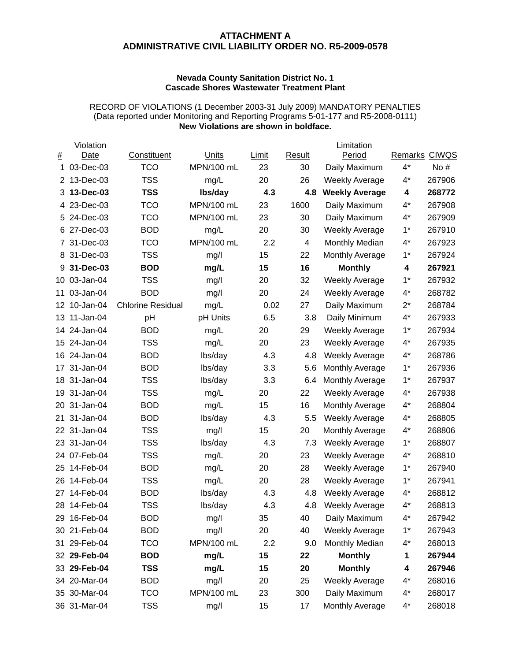### **ATTACHMENT A ADMINISTRATIVE CIVIL LIABILITY ORDER NO. R5-2009-0578**

#### **Nevada County Sanitation District No. 1 Cascade Shores Wastewater Treatment Plant**

#### RECORD OF VIOLATIONS (1 December 2003-31 July 2009) MANDATORY PENALTIES (Data reported under Monitoring and Reporting Programs 5-01-177 and R5-2008-0111) **New Violations are shown in boldface.**

|     | Violation    |                          |            |       |        | Limitation            |               |        |
|-----|--------------|--------------------------|------------|-------|--------|-----------------------|---------------|--------|
| #   | Date         | Constituent              | Units      | Limit | Result | Period                | Remarks CIWQS |        |
| 1   | 03-Dec-03    | <b>TCO</b>               | MPN/100 mL | 23    | 30     | Daily Maximum         | $4^*$         | No #   |
| 2   | 13-Dec-03    | <b>TSS</b>               | mg/L       | 20    | 26     | <b>Weekly Average</b> | $4^*$         | 267906 |
| 3   | 13-Dec-03    | <b>TSS</b>               | lbs/day    | 4.3   | 4.8    | <b>Weekly Average</b> | 4             | 268772 |
| 4   | 23-Dec-03    | <b>TCO</b>               | MPN/100 mL | 23    | 1600   | Daily Maximum         | $4^*$         | 267908 |
|     | 5 24-Dec-03  | <b>TCO</b>               | MPN/100 mL | 23    | 30     | Daily Maximum         | $4^*$         | 267909 |
| 6   | 27-Dec-03    | <b>BOD</b>               | mg/L       | 20    | 30     | <b>Weekly Average</b> | $1*$          | 267910 |
| 7   | 31-Dec-03    | <b>TCO</b>               | MPN/100 mL | 2.2   | 4      | Monthly Median        | $4^*$         | 267923 |
| 8   | 31-Dec-03    | <b>TSS</b>               | mg/l       | 15    | 22     | Monthly Average       | $1*$          | 267924 |
| 9   | 31-Dec-03    | <b>BOD</b>               | mg/L       | 15    | 16     | <b>Monthly</b>        | 4             | 267921 |
| 10  | 03-Jan-04    | <b>TSS</b>               | mg/l       | 20    | 32     | <b>Weekly Average</b> | $1*$          | 267932 |
| 11  | 03-Jan-04    | <b>BOD</b>               | mg/l       | 20    | 24     | <b>Weekly Average</b> | $4^*$         | 268782 |
| 12  | 10-Jan-04    | <b>Chlorine Residual</b> | mg/L       | 0.02  | 27     | Daily Maximum         | $2^*$         | 268784 |
| 13  | 11-Jan-04    | pH                       | pH Units   | 6.5   | 3.8    | Daily Minimum         | $4^*$         | 267933 |
| 14  | 24-Jan-04    | <b>BOD</b>               | mg/L       | 20    | 29     | <b>Weekly Average</b> | $1*$          | 267934 |
| 15  | 24-Jan-04    | <b>TSS</b>               | mg/L       | 20    | 23     | <b>Weekly Average</b> | $4^*$         | 267935 |
| 16  | 24-Jan-04    | <b>BOD</b>               | lbs/day    | 4.3   | 4.8    | <b>Weekly Average</b> | $4^*$         | 268786 |
| 17  | 31-Jan-04    | <b>BOD</b>               | lbs/day    | 3.3   | 5.6    | Monthly Average       | $1*$          | 267936 |
| 18  | 31-Jan-04    | <b>TSS</b>               | lbs/day    | 3.3   | 6.4    | Monthly Average       | $1*$          | 267937 |
| 19  | 31-Jan-04    | <b>TSS</b>               | mg/L       | 20    | 22     | <b>Weekly Average</b> | $4^*$         | 267938 |
| 20  | 31-Jan-04    | <b>BOD</b>               | mg/L       | 15    | 16     | Monthly Average       | $4^*$         | 268804 |
| 21  | 31-Jan-04    | <b>BOD</b>               | lbs/day    | 4.3   | 5.5    | <b>Weekly Average</b> | $4^*$         | 268805 |
| 22  | 31-Jan-04    | <b>TSS</b>               | mg/l       | 15    | 20     | Monthly Average       | $4^*$         | 268806 |
| 23  | 31-Jan-04    | <b>TSS</b>               | lbs/day    | 4.3   | 7.3    | <b>Weekly Average</b> | $1*$          | 268807 |
|     | 24 07-Feb-04 | <b>TSS</b>               | mg/L       | 20    | 23     | <b>Weekly Average</b> | $4^*$         | 268810 |
| 25  | 14-Feb-04    | <b>BOD</b>               | mg/L       | 20    | 28     | <b>Weekly Average</b> | $1*$          | 267940 |
| 26  | 14-Feb-04    | <b>TSS</b>               | mg/L       | 20    | 28     | <b>Weekly Average</b> | $1*$          | 267941 |
| 27  | 14-Feb-04    | <b>BOD</b>               | lbs/day    | 4.3   | 4.8    | <b>Weekly Average</b> | $4^*$         | 268812 |
|     | 28 14-Feb-04 | <b>TSS</b>               | lbs/day    | 4.3   | 4.8    | <b>Weekly Average</b> | $4^*$         | 268813 |
| 29  | 16-Feb-04    | BOD                      | mg/l       | 35    | 40     | Daily Maximum         | 4*            | 267942 |
|     | 30 21-Feb-04 | <b>BOD</b>               | mg/l       | 20    | 40     | <b>Weekly Average</b> | $1^*$         | 267943 |
| 31. | 29-Feb-04    | <b>TCO</b>               | MPN/100 mL | 2.2   | 9.0    | Monthly Median        | $4^*$         | 268013 |
|     | 32 29-Feb-04 | <b>BOD</b>               | mg/L       | 15    | 22     | <b>Monthly</b>        | 1             | 267944 |
|     | 33 29-Feb-04 | <b>TSS</b>               | mg/L       | 15    | 20     | <b>Monthly</b>        | 4             | 267946 |
|     | 34 20-Mar-04 | <b>BOD</b>               | mg/l       | 20    | 25     | <b>Weekly Average</b> | $4^*$         | 268016 |
|     | 35 30-Mar-04 | <b>TCO</b>               | MPN/100 mL | 23    | 300    | Daily Maximum         | $4^*$         | 268017 |
|     | 36 31-Mar-04 | <b>TSS</b>               | mg/l       | 15    | 17     | Monthly Average       | $4^*$         | 268018 |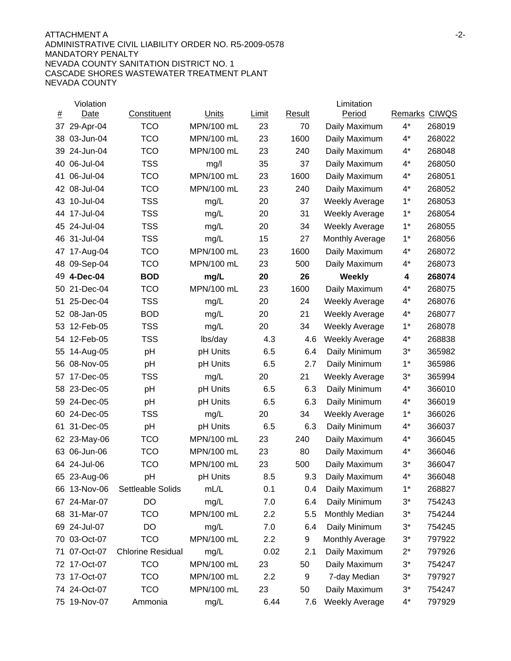### ATTACHMENT A -2- ADMINISTRATIVE CIVIL LIABILITY ORDER NO. R5-2009-0578 MANDATORY PENALTY NEVADA COUNTY SANITATION DISTRICT NO. 1 CASCADE SHORES WASTEWATER TREATMENT PLANT NEVADA COUNTY

|          | Violation    |                          |            |       |        | Limitation             |               |        |
|----------|--------------|--------------------------|------------|-------|--------|------------------------|---------------|--------|
| <u>#</u> | Date         | Constituent              | Units      | Limit | Result | Period                 | Remarks CIWQS |        |
| 37       | 29-Apr-04    | <b>TCO</b>               | MPN/100 mL | 23    | 70     | Daily Maximum          | $4^*$         | 268019 |
| 38       | 03-Jun-04    | <b>TCO</b>               | MPN/100 mL | 23    | 1600   | Daily Maximum          | $4^*$         | 268022 |
| 39       | 24-Jun-04    | <b>TCO</b>               | MPN/100 mL | 23    | 240    | Daily Maximum          | $4^*$         | 268048 |
| 40       | 06-Jul-04    | <b>TSS</b>               | mg/l       | 35    | 37     | Daily Maximum          | $4^*$         | 268050 |
| 41       | 06-Jul-04    | <b>TCO</b>               | MPN/100 mL | 23    | 1600   | Daily Maximum          | $4^*$         | 268051 |
| 42       | 08-Jul-04    | <b>TCO</b>               | MPN/100 mL | 23    | 240    | Daily Maximum          | $4^*$         | 268052 |
| 43       | 10-Jul-04    | <b>TSS</b>               | mg/L       | 20    | 37     | <b>Weekly Average</b>  | $1*$          | 268053 |
| 44       | 17-Jul-04    | <b>TSS</b>               | mg/L       | 20    | 31     | <b>Weekly Average</b>  | $1*$          | 268054 |
| 45       | 24-Jul-04    | <b>TSS</b>               | mg/L       | 20    | 34     | <b>Weekly Average</b>  | $1*$          | 268055 |
| 46       | 31-Jul-04    | <b>TSS</b>               | mg/L       | 15    | 27     | <b>Monthly Average</b> | $1^*$         | 268056 |
| 47       | 17-Aug-04    | <b>TCO</b>               | MPN/100 mL | 23    | 1600   | Daily Maximum          | $4^*$         | 268072 |
| 48       | 09-Sep-04    | <b>TCO</b>               | MPN/100 mL | 23    | 500    | Daily Maximum          | $4^*$         | 268073 |
| 49       | 4-Dec-04     | <b>BOD</b>               | mg/L       | 20    | 26     | <b>Weekly</b>          | 4             | 268074 |
| 50       | 21-Dec-04    | <b>TCO</b>               | MPN/100 mL | 23    | 1600   | Daily Maximum          | $4^*$         | 268075 |
| 51       | 25-Dec-04    | <b>TSS</b>               | mg/L       | 20    | 24     | <b>Weekly Average</b>  | $4^*$         | 268076 |
| 52       | 08-Jan-05    | <b>BOD</b>               | mg/L       | 20    | 21     | <b>Weekly Average</b>  | $4^*$         | 268077 |
| 53       | 12-Feb-05    | <b>TSS</b>               | mg/L       | 20    | 34     | <b>Weekly Average</b>  | $1*$          | 268078 |
| 54       | 12-Feb-05    | <b>TSS</b>               | lbs/day    | 4.3   | 4.6    | <b>Weekly Average</b>  | $4^*$         | 268838 |
| 55       | 14-Aug-05    | pH                       | pH Units   | 6.5   | 6.4    | Daily Minimum          | $3^*$         | 365982 |
| 56       | 08-Nov-05    | pH                       | pH Units   | 6.5   | 2.7    | Daily Minimum          | $1*$          | 365986 |
| 57       | 17-Dec-05    | <b>TSS</b>               | mg/L       | 20    | 21     | <b>Weekly Average</b>  | $3^*$         | 365994 |
| 58.      | 23-Dec-05    | pH                       | pH Units   | 6.5   | 6.3    | Daily Minimum          | $4^*$         | 366010 |
| 59       | 24-Dec-05    | pH                       | pH Units   | 6.5   | 6.3    | Daily Minimum          | $4^*$         | 366019 |
| 60       | 24-Dec-05    | <b>TSS</b>               | mg/L       | 20    | 34     | <b>Weekly Average</b>  | $1*$          | 366026 |
| 61       | 31-Dec-05    | pH                       | pH Units   | 6.5   | 6.3    | Daily Minimum          | $4^*$         | 366037 |
| 62       | 23-May-06    | <b>TCO</b>               | MPN/100 mL | 23    | 240    | Daily Maximum          | 4*            | 366045 |
| 63       | 06-Jun-06    | <b>TCO</b>               | MPN/100 mL | 23    | 80     | Daily Maximum          | 4*            | 366046 |
|          | 64 24-Jul-06 | <b>TCO</b>               | MPN/100 mL | 23    | 500    | Daily Maximum          | $3^*$         | 366047 |
|          | 65 23-Aug-06 | pH                       | pH Units   | 8.5   | 9.3    | Daily Maximum          | 4*            | 366048 |
|          | 66 13-Nov-06 | Settleable Solids        | mL/L       | 0.1   | 0.4    | Daily Maximum          | $1^*$         | 268827 |
|          | 67 24-Mar-07 | DO                       | mg/L       | 7.0   | 6.4    | Daily Minimum          | $3^*$         | 754243 |
|          | 68 31-Mar-07 | <b>TCO</b>               | MPN/100 mL | 2.2   | 5.5    | Monthly Median         | $3^*$         | 754244 |
|          | 69 24-Jul-07 | DO                       | mg/L       | 7.0   | 6.4    | Daily Minimum          | $3^*$         | 754245 |
|          | 70 03-Oct-07 | <b>TCO</b>               | MPN/100 mL | 2.2   | 9      | <b>Monthly Average</b> | $3^*$         | 797922 |
| 71       | 07-Oct-07    | <b>Chlorine Residual</b> | mg/L       | 0.02  | 2.1    | Daily Maximum          | $2^*$         | 797926 |
|          | 72 17-Oct-07 | <b>TCO</b>               | MPN/100 mL | 23    | 50     | Daily Maximum          | $3^*$         | 754247 |
| 73       | 17-Oct-07    | <b>TCO</b>               | MPN/100 mL | 2.2   | 9      | 7-day Median           | $3^*$         | 797927 |
|          | 74 24-Oct-07 | <b>TCO</b>               | MPN/100 mL | 23    | 50     | Daily Maximum          | $3^*$         | 754247 |
|          | 75 19-Nov-07 | Ammonia                  | mg/L       | 6.44  | 7.6    | <b>Weekly Average</b>  | $4^*$         | 797929 |